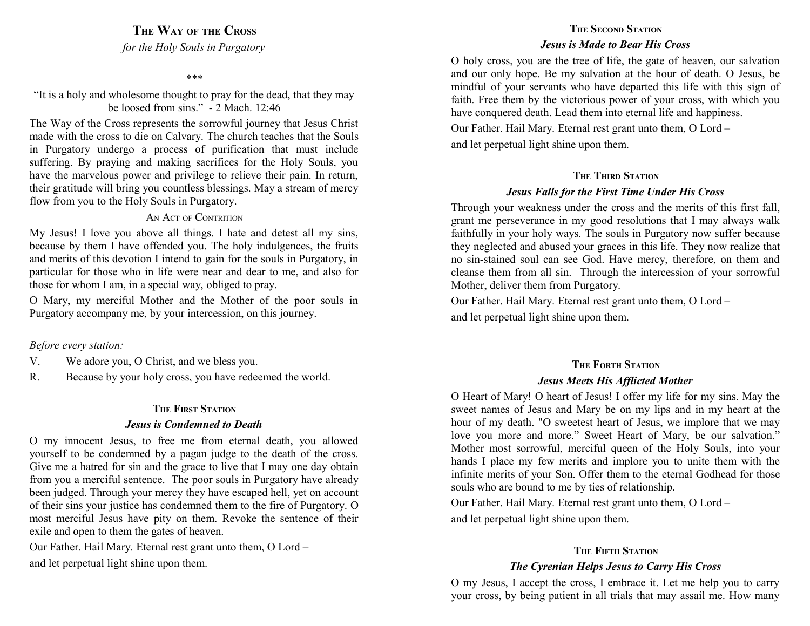**THE WAY OF THE CROSS**

*for the Holy Souls in Purgatory*

#### *\*\*\**

"It is a holy and wholesome thought to pray for the dead, that they may be loosed from sins." - 2 Mach. 12:46

The Way of the Cross represents the sorrowful journey that Jesus Christ made with the cross to die on Calvary. The church teaches that the Souls in Purgatory undergo a process of purification that must include suffering. By praying and making sacrifices for the Holy Souls, you have the marvelous power and privilege to relieve their pain. In return, their gratitude will bring you countless blessings. May a stream of mercy flow from you to the Holy Souls in Purgatory.

#### AN ACT OF CONTRITION

My Jesus! I love you above all things. I hate and detest all my sins, because by them I have offended you. The holy indulgences, the fruits and merits of this devotion I intend to gain for the souls in Purgatory, in particular for those who in life were near and dear to me, and also for those for whom I am, in a special way, obliged to pray.

O Mary, my merciful Mother and the Mother of the poor souls in Purgatory accompany me, by your intercession, on this journey.

#### *Before every station:*

- V. We adore you, O Christ, and we bless you.
- R. Because by your holy cross, you have redeemed the world.

#### **THE FIRST STATION**

#### *Jesus is Condemned to Death*

O my innocent Jesus, to free me from eternal death, you allowed yourself to be condemned by a pagan judge to the death of the cross. Give me a hatred for sin and the grace to live that I may one day obtain from you a merciful sentence. The poor souls in Purgatory have already been judged. Through your mercy they have escaped hell, yet on account of their sins your justice has condemned them to the fire of Purgatory. O most merciful Jesus have pity on them. Revoke the sentence of their exile and open to them the gates of heaven.

Our Father. Hail Mary. Eternal rest grant unto them, O Lord – and let perpetual light shine upon them.

# **THE SECOND STATION**

#### *Jesus is Made to Bear His Cross*

O holy cross, you are the tree of life, the gate of heaven, our salvation and our only hope. Be my salvation at the hour of death. O Jesus, be mindful of your servants who have departed this life with this sign of faith. Free them by the victorious power of your cross, with which you have conquered death. Lead them into eternal life and happiness.

Our Father. Hail Mary. Eternal rest grant unto them, O Lord – and let perpetual light shine upon them.

### **THE THIRD STATION**

#### *Jesus Falls for the First Time Under His Cross*

Through your weakness under the cross and the merits of this first fall, grant me perseverance in my good resolutions that I may always walk faithfully in your holy ways. The souls in Purgatory now suffer because they neglected and abused your graces in this life. They now realize that no sin-stained soul can see God. Have mercy, therefore, on them and cleanse them from all sin. Through the intercession of your sorrowful Mother, deliver them from Purgatory.

Our Father. Hail Mary. Eternal rest grant unto them, O Lord – and let perpetual light shine upon them.

# **THE FORTH STATION** *Jesus Meets His Afflicted Mother*

O Heart of Mary! O heart of Jesus! I offer my life for my sins. May the sweet names of Jesus and Mary be on my lips and in my heart at the hour of my death. "O sweetest heart of Jesus, we implore that we may love you more and more." Sweet Heart of Mary, be our salvation." Mother most sorrowful, merciful queen of the Holy Souls, into your hands I place my few merits and implore you to unite them with the infinite merits of your Son. Offer them to the eternal Godhead for those souls who are bound to me by ties of relationship.

Our Father. Hail Mary. Eternal rest grant unto them, O Lord – and let perpetual light shine upon them.

## **THE FIFTH STATION**

# *The Cyrenian Helps Jesus to Carry His Cross*

O my Jesus, I accept the cross, I embrace it. Let me help you to carry your cross, by being patient in all trials that may assail me. How many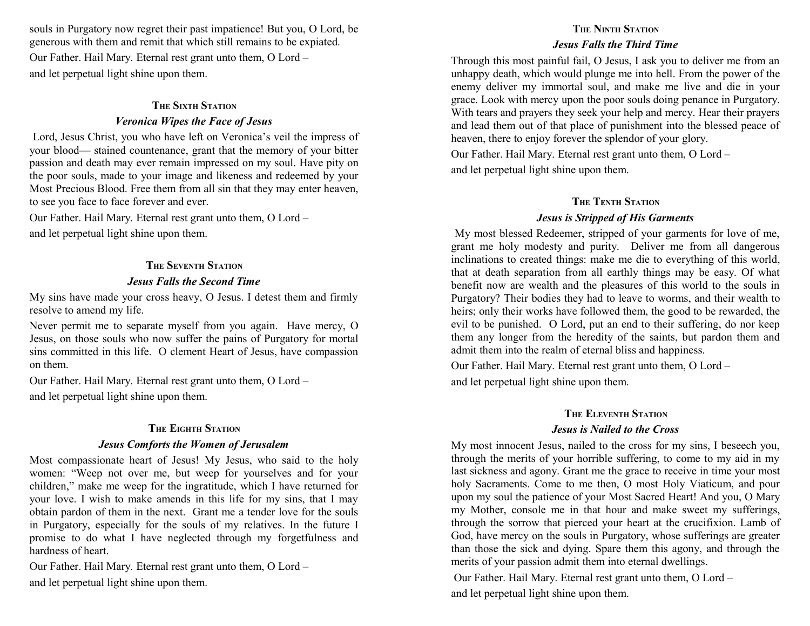souls in Purgatory now regret their past impatience! But you, O Lord, be generous with them and remit that which still remains to be expiated. Our Father. Hail Mary. Eternal rest grant unto them, O Lord – and let perpetual light shine upon them.

#### **THE SIXTH STATION**

## *Veronica Wipes the Face of Jesus*

 Lord, Jesus Christ, you who have left on Veronica's veil the impress of your blood— stained countenance, grant that the memory of your bitter passion and death may ever remain impressed on my soul. Have pity on the poor souls, made to your image and likeness and redeemed by your Most Precious Blood. Free them from all sin that they may enter heaven, to see you face to face forever and ever.

Our Father. Hail Mary. Eternal rest grant unto them, O Lord – and let perpetual light shine upon them.

#### **THE SEVENTH STATION**

#### *Jesus Falls the Second Time*

My sins have made your cross heavy, O Jesus. I detest them and firmly resolve to amend my life.

Never permit me to separate myself from you again. Have mercy, O Jesus, on those souls who now suffer the pains of Purgatory for mortal sins committed in this life. O clement Heart of Jesus, have compassion on them.

Our Father. Hail Mary. Eternal rest grant unto them, O Lord – and let perpetual light shine upon them.

#### **THE EIGHTH STATION**

#### *Jesus Comforts the Women of Jerusalem*

Most compassionate heart of Jesus! My Jesus, who said to the holy women: "Weep not over me, but weep for yourselves and for your children," make me weep for the ingratitude, which I have returned for your love. I wish to make amends in this life for my sins, that I may obtain pardon of them in the next. Grant me a tender love for the souls in Purgatory, especially for the souls of my relatives. In the future I promise to do what I have neglected through my forgetfulness and hardness of heart.

Our Father. Hail Mary. Eternal rest grant unto them, O Lord – and let perpetual light shine upon them.

# **THE NINTH STATION** *Jesus Falls the Third Time*

Through this most painful fail, O Jesus, I ask you to deliver me from an unhappy death, which would plunge me into hell. From the power of the enemy deliver my immortal soul, and make me live and die in your grace. Look with mercy upon the poor souls doing penance in Purgatory. With tears and prayers they seek your help and mercy. Hear their prayers and lead them out of that place of punishment into the blessed peace of heaven, there to enjoy forever the splendor of your glory.

Our Father. Hail Mary. Eternal rest grant unto them, O Lord – and let perpetual light shine upon them.

# **THE TENTH STATION** *Jesus is Stripped of His Garments*

 My most blessed Redeemer, stripped of your garments for love of me, grant me holy modesty and purity. Deliver me from all dangerous inclinations to created things: make me die to everything of this world, that at death separation from all earthly things may be easy. Of what benefit now are wealth and the pleasures of this world to the souls in Purgatory? Their bodies they had to leave to worms, and their wealth to heirs; only their works have followed them, the good to be rewarded, the evil to be punished. O Lord, put an end to their suffering, do nor keep them any longer from the heredity of the saints, but pardon them and admit them into the realm of eternal bliss and happiness.

Our Father. Hail Mary. Eternal rest grant unto them, O Lord – and let perpetual light shine upon them.

### **THE ELEVENTH STATION**

### *Jesus is Nailed to the Cross*

My most innocent Jesus, nailed to the cross for my sins, I beseech you, through the merits of your horrible suffering, to come to my aid in my last sickness and agony. Grant me the grace to receive in time your most holy Sacraments. Come to me then, O most Holy Viaticum, and pour upon my soul the patience of your Most Sacred Heart! And you, O Mary my Mother, console me in that hour and make sweet my sufferings, through the sorrow that pierced your heart at the crucifixion. Lamb of God, have mercy on the souls in Purgatory, whose sufferings are greater than those the sick and dying. Spare them this agony, and through the merits of your passion admit them into eternal dwellings.

 Our Father. Hail Mary. Eternal rest grant unto them, O Lord – and let perpetual light shine upon them.